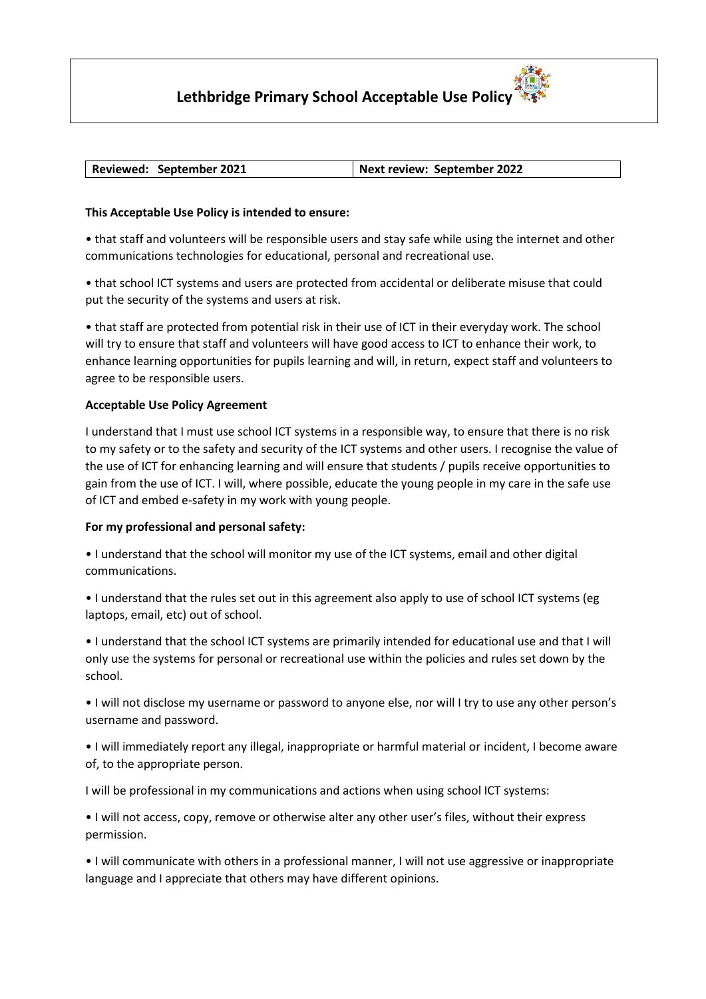# **Lethbridge Primary School Acceptable Use Policy**

## **Reviewed: September 2021 Next review: September 2022**

## **This Acceptable Use Policy is intended to ensure:**

• that staff and volunteers will be responsible users and stay safe while using the internet and other communications technologies for educational, personal and recreational use.

• that school ICT systems and users are protected from accidental or deliberate misuse that could put the security of the systems and users at risk.

• that staff are protected from potential risk in their use of ICT in their everyday work. The school will try to ensure that staff and volunteers will have good access to ICT to enhance their work, to enhance learning opportunities for pupils learning and will, in return, expect staff and volunteers to agree to be responsible users.

### **Acceptable Use Policy Agreement**

I understand that I must use school ICT systems in a responsible way, to ensure that there is no risk to my safety or to the safety and security of the ICT systems and other users. I recognise the value of the use of ICT for enhancing learning and will ensure that students / pupils receive opportunities to gain from the use of ICT. I will, where possible, educate the young people in my care in the safe use of ICT and embed e-safety in my work with young people.

#### **For my professional and personal safety:**

• I understand that the school will monitor my use of the ICT systems, email and other digital communications.

• I understand that the rules set out in this agreement also apply to use of school ICT systems (eg laptops, email, etc) out of school.

• I understand that the school ICT systems are primarily intended for educational use and that I will only use the systems for personal or recreational use within the policies and rules set down by the school.

• I will not disclose my username or password to anyone else, nor will I try to use any other person's username and password.

• I will immediately report any illegal, inappropriate or harmful material or incident, I become aware of, to the appropriate person.

I will be professional in my communications and actions when using school ICT systems:

• I will not access, copy, remove or otherwise alter any other user's files, without their express permission.

• I will communicate with others in a professional manner, I will not use aggressive or inappropriate language and I appreciate that others may have different opinions.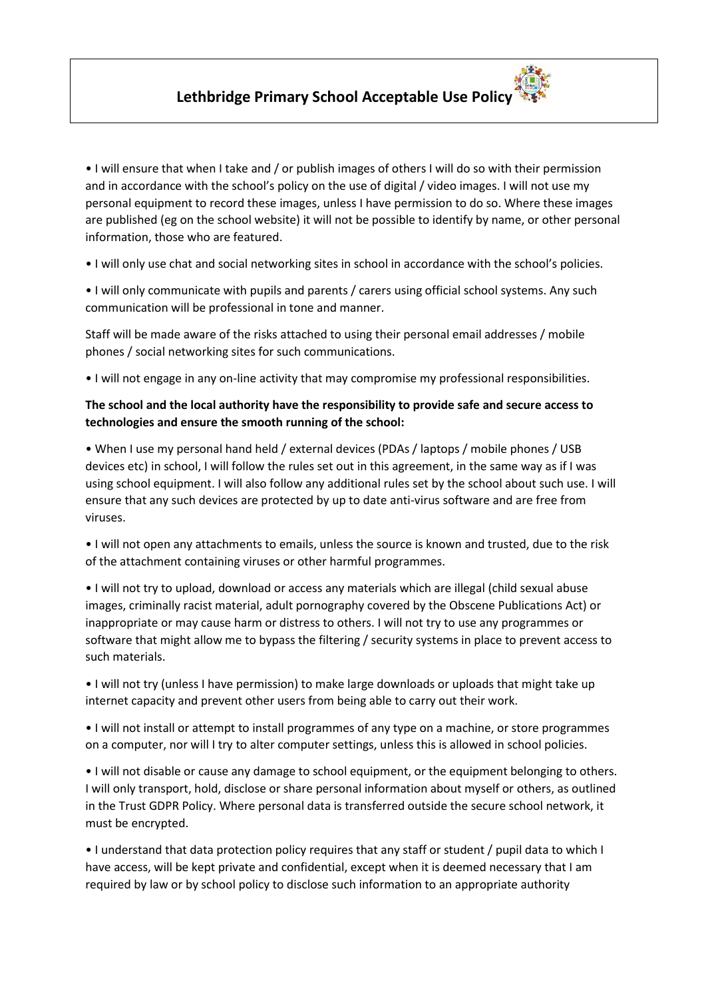• I will ensure that when I take and / or publish images of others I will do so with their permission and in accordance with the school's policy on the use of digital / video images. I will not use my personal equipment to record these images, unless I have permission to do so. Where these images are published (eg on the school website) it will not be possible to identify by name, or other personal information, those who are featured.

• I will only use chat and social networking sites in school in accordance with the school's policies.

• I will only communicate with pupils and parents / carers using official school systems. Any such communication will be professional in tone and manner.

Staff will be made aware of the risks attached to using their personal email addresses / mobile phones / social networking sites for such communications.

• I will not engage in any on-line activity that may compromise my professional responsibilities.

# **The school and the local authority have the responsibility to provide safe and secure access to technologies and ensure the smooth running of the school:**

• When I use my personal hand held / external devices (PDAs / laptops / mobile phones / USB devices etc) in school, I will follow the rules set out in this agreement, in the same way as if I was using school equipment. I will also follow any additional rules set by the school about such use. I will ensure that any such devices are protected by up to date anti-virus software and are free from viruses.

• I will not open any attachments to emails, unless the source is known and trusted, due to the risk of the attachment containing viruses or other harmful programmes.

• I will not try to upload, download or access any materials which are illegal (child sexual abuse images, criminally racist material, adult pornography covered by the Obscene Publications Act) or inappropriate or may cause harm or distress to others. I will not try to use any programmes or software that might allow me to bypass the filtering / security systems in place to prevent access to such materials.

• I will not try (unless I have permission) to make large downloads or uploads that might take up internet capacity and prevent other users from being able to carry out their work.

• I will not install or attempt to install programmes of any type on a machine, or store programmes on a computer, nor will I try to alter computer settings, unless this is allowed in school policies.

• I will not disable or cause any damage to school equipment, or the equipment belonging to others. I will only transport, hold, disclose or share personal information about myself or others, as outlined in the Trust GDPR Policy. Where personal data is transferred outside the secure school network, it must be encrypted.

• I understand that data protection policy requires that any staff or student / pupil data to which I have access, will be kept private and confidential, except when it is deemed necessary that I am required by law or by school policy to disclose such information to an appropriate authority